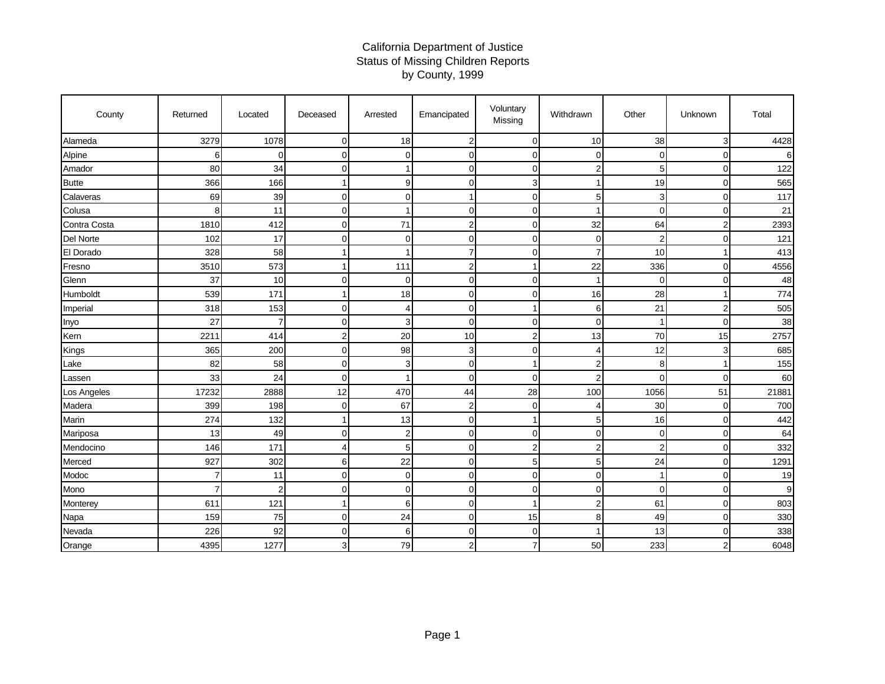## California Department of Justice Status of Missing Children Reports by County, 1999

| County       | Returned | Located        | Deceased       | Arrested       | Emancipated    | Voluntary<br>Missing | Withdrawn             | Other          | Unknown        | Total |
|--------------|----------|----------------|----------------|----------------|----------------|----------------------|-----------------------|----------------|----------------|-------|
| Alameda      | 3279     | 1078           | $\Omega$       | 18             | $\overline{2}$ | $\mathbf 0$          | 10                    | 38             | 3              | 4428  |
| Alpine       | 6        | $\overline{0}$ | $\Omega$       | $\Omega$       | $\Omega$       | $\mathbf 0$          | $\mathbf 0$           | $\Omega$       | 0              | 6     |
| Amador       | 80       | 34             | $\Omega$       |                | $\Omega$       | $\mathbf 0$          | $\overline{2}$        | 5              | $\overline{0}$ | 122   |
| <b>Butte</b> | 366      | 166            |                | 9              | $\Omega$       | 3                    | 1                     | 19             | $\overline{O}$ | 565   |
| Calaveras    | 69       | 39             | $\Omega$       | $\Omega$       |                | $\mathbf 0$          | 5                     | 3              | $\mathbf 0$    | 117   |
| Colusa       | 8        | 11             | $\Omega$       |                | $\Omega$       | $\mathbf 0$          | 1                     | $\mathbf 0$    | $\overline{0}$ | 21    |
| Contra Costa | 1810     | 412            | $\Omega$       | 71             | $\overline{c}$ | $\mathbf 0$          | 32                    | 64             | 2              | 2393  |
| Del Norte    | 102      | 17             | $\Omega$       | $\Omega$       | $\Omega$       | $\mathbf 0$          | $\mathbf 0$           | $\overline{2}$ | $\overline{0}$ | 121   |
| El Dorado    | 328      | 58             |                |                | 7              | $\mathbf 0$          | 7                     | 10             | 1              | 413   |
| Fresno       | 3510     | 573            |                | 111            | $\overline{c}$ | 1                    | 22                    | 336            | $\overline{0}$ | 4556  |
| Glenn        | 37       | 10             | $\Omega$       | $\Omega$       | $\Omega$       | $\mathbf 0$          | 1                     | $\Omega$       | $\overline{O}$ | 48    |
| Humboldt     | 539      | 171            |                | 18             | $\Omega$       | $\mathbf 0$          | 16                    | 28             | 1              | 774   |
| Imperial     | 318      | 153            | 0              | 4              | $\Omega$       | 1                    | 6                     | 21             | $\overline{2}$ | 505   |
| Inyo         | 27       | $\overline{7}$ | 0              | 3              | $\Omega$       | $\mathbf 0$          | $\mathbf 0$           | 1              | $\overline{0}$ | 38    |
| Kern         | 2211     | 414            | $\overline{2}$ | 20             | 10             | $\overline{2}$       | 13                    | 70             | 15             | 2757  |
| Kings        | 365      | 200            | $\Omega$       | 98             | 3              | $\mathbf 0$          | 4                     | 12             | 3              | 685   |
| Lake         | 82       | 58             | $\Omega$       | 3              | $\overline{0}$ | $\mathbf{1}$         | $\overline{2}$        | 8              | 1              | 155   |
| Lassen       | 33       | 24             | $\Omega$       |                | $\Omega$       | $\Omega$             | $\overline{2}$        | $\Omega$       | $\overline{O}$ | 60    |
| Los Angeles  | 17232    | 2888           | 12             | 470            | 44             | 28                   | 100                   | 1056           | 51             | 21881 |
| Madera       | 399      | 198            | $\Omega$       | 67             | $\overline{2}$ | $\mathbf 0$          | $\boldsymbol{\Delta}$ | 30             | $\mathbf 0$    | 700   |
| Marin        | 274      | 132            |                | 13             | $\overline{0}$ | 1                    | 5                     | 16             | $\overline{O}$ | 442   |
| Mariposa     | 13       | 49             | 0              | $\overline{2}$ | $\Omega$       | $\mathbf 0$          | $\Omega$              | 0              | $\overline{0}$ | 64    |
| Mendocino    | 146      | 171            | Δ              | 5              | $\overline{0}$ | $\boldsymbol{2}$     | $\overline{2}$        | $\overline{c}$ | 0              | 332   |
| Merced       | 927      | 302            | 6              | 22             | $\Omega$       | 5                    | 5                     | 24             | $\overline{O}$ | 1291  |
| Modoc        | 7        | 11             | $\Omega$       | $\Omega$       | $\Omega$       | $\mathbf 0$          | $\mathbf 0$           |                | $\overline{O}$ | 19    |
| Mono         | 7        | 2              | $\Omega$       | $\overline{0}$ | $\Omega$       | $\mathbf 0$          | $\mathbf 0$           | 0              | $\mathbf 0$    | 9     |
| Monterey     | 611      | 121            |                | 6              | $\Omega$       | 1                    | $\overline{2}$        | 61             | 0              | 803   |
| Napa         | 159      | 75             | 0              | 24             | $\overline{0}$ | 15                   | 8                     | 49             | $\overline{0}$ | 330   |
| Nevada       | 226      | 92             | $\Omega$       | 6              | $\mathbf 0$    | $\mathbf 0$          |                       | 13             | $\overline{O}$ | 338   |
| Orange       | 4395     | 1277           |                | 79             | $\overline{a}$ | $\overline{7}$       | 50                    | 233            | $\overline{c}$ | 6048  |